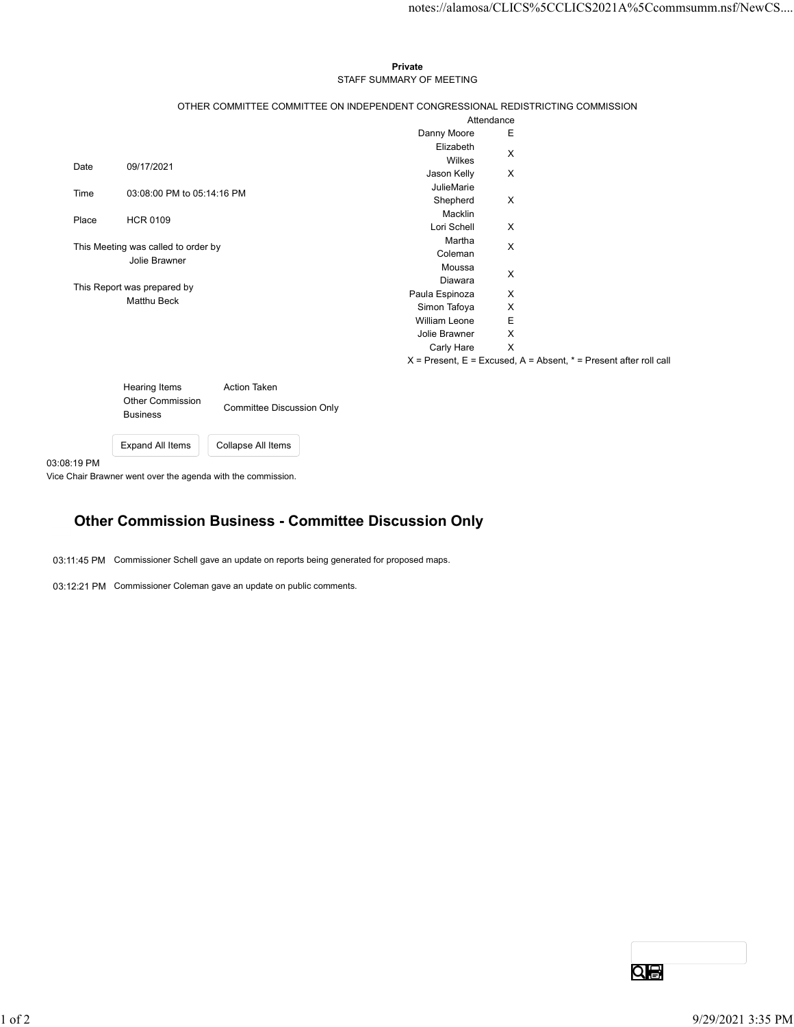## Private STAFF SUMMARY OF MEETING

|         |                                     |                                  |                                                                                 |                                                                           | notes://alamosa/CLICS%5CCLICS2021A%5Ccommsumm.nsf/NewCS |
|---------|-------------------------------------|----------------------------------|---------------------------------------------------------------------------------|---------------------------------------------------------------------------|---------------------------------------------------------|
|         |                                     |                                  |                                                                                 |                                                                           |                                                         |
|         |                                     |                                  |                                                                                 |                                                                           |                                                         |
|         |                                     |                                  |                                                                                 |                                                                           |                                                         |
|         |                                     |                                  | Private<br>STAFF SUMMARY OF MEETING                                             |                                                                           |                                                         |
|         |                                     |                                  |                                                                                 |                                                                           |                                                         |
|         |                                     |                                  | OTHER COMMITTEE COMMITTEE ON INDEPENDENT CONGRESSIONAL REDISTRICTING COMMISSION |                                                                           |                                                         |
|         |                                     |                                  | Attendance<br>Danny Moore                                                       | Ε                                                                         |                                                         |
|         |                                     |                                  | Elizabeth                                                                       |                                                                           |                                                         |
| Date    | 09/17/2021                          |                                  | Wilkes                                                                          | X                                                                         |                                                         |
|         |                                     |                                  | Jason Kelly                                                                     | $\mathsf{X}$                                                              |                                                         |
| Time    | 03:08:00 PM to 05:14:16 PM          |                                  | JulieMarie                                                                      |                                                                           |                                                         |
|         |                                     |                                  | Shepherd<br>Macklin                                                             | $\boldsymbol{\mathsf{X}}$                                                 |                                                         |
| Place   | <b>HCR 0109</b>                     |                                  | Lori Schell                                                                     | $\boldsymbol{\mathsf{X}}$                                                 |                                                         |
|         | This Meeting was called to order by |                                  | Martha                                                                          | X                                                                         |                                                         |
|         | Jolie Brawner                       |                                  | Coleman                                                                         |                                                                           |                                                         |
|         |                                     |                                  | Moussa                                                                          | X                                                                         |                                                         |
|         | This Report was prepared by         |                                  | Diawara<br>Paula Espinoza                                                       | X                                                                         |                                                         |
|         | Matthu Beck                         |                                  | Simon Tafoya                                                                    | X                                                                         |                                                         |
|         |                                     |                                  | William Leone                                                                   | $\mathsf E$                                                               |                                                         |
|         |                                     |                                  | Jolie Brawner                                                                   | $\boldsymbol{\mathsf{X}}$                                                 |                                                         |
|         |                                     |                                  | Carly Hare X                                                                    |                                                                           |                                                         |
|         |                                     |                                  |                                                                                 | $X =$ Present, $E =$ Excused, $A =$ Absent, $* =$ Present after roll call |                                                         |
|         | <b>Hearing Items</b>                | Action Taken                     |                                                                                 |                                                                           |                                                         |
|         | Other Commission                    |                                  |                                                                                 |                                                                           |                                                         |
|         | <b>Business</b>                     | <b>Committee Discussion Only</b> |                                                                                 |                                                                           |                                                         |
|         |                                     |                                  |                                                                                 |                                                                           |                                                         |
|         | Expand All Items                    | Collapse All Items               |                                                                                 |                                                                           |                                                         |
| 8:19 PM |                                     |                                  |                                                                                 |                                                                           |                                                         |

| Hearing Items                              | Action Taken                     |  |  |
|--------------------------------------------|----------------------------------|--|--|
| <b>Other Commission</b><br><b>Business</b> | <b>Committee Discussion Only</b> |  |  |
| Expand All Items                           | Collapse All Items               |  |  |

03:08:19 PM

Vice Chair Brawner went over the agenda with the commission.

## Other Commission Business - Committee Discussion Only

03:11:45 PM Commissioner Schell gave an update on reports being generated for proposed maps.

03:12:21 PM Commissioner Coleman gave an update on public comments.